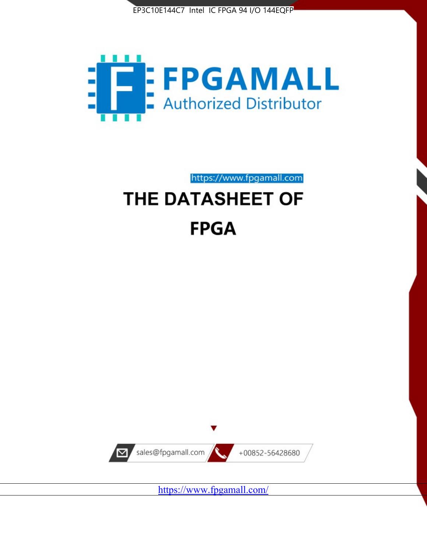



https://www.fpgamall.com

# THE DATASHEET OF **FPGA**



<https://www.fpgamall.com/>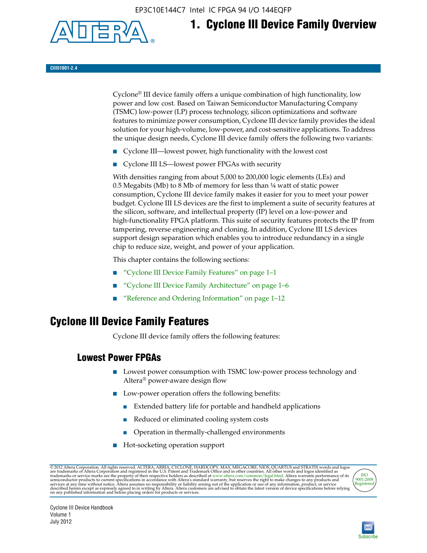EP3C10E144C7 Intel IC FPGA 94 I/O 144EQFP



## **1. Cyclone III Device Family Overview**

#### **CIII51001-2.4**

Cyclone® III device family offers a unique combination of high functionality, low power and low cost. Based on Taiwan Semiconductor Manufacturing Company (TSMC) low-power (LP) process technology, silicon optimizations and software features to minimize power consumption, Cyclone III device family provides the ideal solution for your high-volume, low-power, and cost-sensitive applications. To address the unique design needs, Cyclone III device family offers the following two variants:

- Cyclone III—lowest power, high functionality with the lowest cost
- Cyclone III LS—lowest power FPGAs with security

With densities ranging from about 5,000 to 200,000 logic elements (LEs) and 0.5 Megabits (Mb) to 8 Mb of memory for less than  $\frac{1}{4}$  watt of static power consumption, Cyclone III device family makes it easier for you to meet your power budget. Cyclone III LS devices are the first to implement a suite of security features at the silicon, software, and intellectual property (IP) level on a low-power and high-functionality FPGA platform. This suite of security features protects the IP from tampering, reverse engineering and cloning. In addition, Cyclone III LS devices support design separation which enables you to introduce redundancy in a single chip to reduce size, weight, and power of your application.

This chapter contains the following sections:

- "Cyclone III Device Family Features" on page 1–1
- "Cyclone III Device Family Architecture" on page 1–6
- "Reference and Ordering Information" on page 1–12

## **Cyclone III Device Family Features**

Cyclone III device family offers the following features:

#### **Lowest Power FPGAs**

- Lowest power consumption with TSMC low-power process technology and Altera® power-aware design flow
- Low-power operation offers the following benefits:
	- Extended battery life for portable and handheld applications
	- Reduced or eliminated cooling system costs
	- Operation in thermally-challenged environments
- Hot-socketing operation support

@ 2012 Altera Corporation. All rights reserved. ALTERA, ARRIA, CYCLONE, HARDCOPY, MAX, MEGACORE, NIOS, QUARTUS and STRATIX words and logos are trademarks of Altera Corporation and registered in the U.S. Patent and Trademar



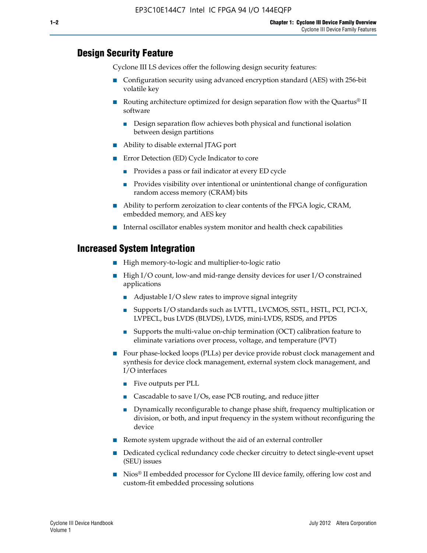#### **Design Security Feature**

Cyclone III LS devices offer the following design security features:

- Configuration security using advanced encryption standard (AES) with 256-bit volatile key
- **■** Routing architecture optimized for design separation flow with the Quartus<sup>®</sup> II software
	- Design separation flow achieves both physical and functional isolation between design partitions
- Ability to disable external JTAG port
- Error Detection (ED) Cycle Indicator to core
	- Provides a pass or fail indicator at every ED cycle
	- Provides visibility over intentional or unintentional change of configuration random access memory (CRAM) bits
- Ability to perform zeroization to clear contents of the FPGA logic, CRAM, embedded memory, and AES key
- Internal oscillator enables system monitor and health check capabilities

#### **Increased System Integration**

- High memory-to-logic and multiplier-to-logic ratio
- High I/O count, low-and mid-range density devices for user I/O constrained applications
	- Adjustable I/O slew rates to improve signal integrity
	- Supports I/O standards such as LVTTL, LVCMOS, SSTL, HSTL, PCI, PCI-X, LVPECL, bus LVDS (BLVDS), LVDS, mini-LVDS, RSDS, and PPDS
	- Supports the multi-value on-chip termination (OCT) calibration feature to eliminate variations over process, voltage, and temperature (PVT)
- Four phase-locked loops (PLLs) per device provide robust clock management and synthesis for device clock management, external system clock management, and I/O interfaces
	- Five outputs per PLL
	- Cascadable to save I/Os, ease PCB routing, and reduce jitter
	- Dynamically reconfigurable to change phase shift, frequency multiplication or division, or both, and input frequency in the system without reconfiguring the device
- Remote system upgrade without the aid of an external controller
- Dedicated cyclical redundancy code checker circuitry to detect single-event upset (SEU) issues
- Nios<sup>®</sup> II embedded processor for Cyclone III device family, offering low cost and custom-fit embedded processing solutions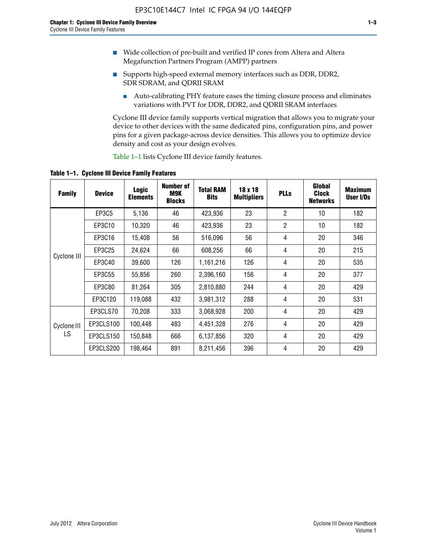- Wide collection of pre-built and verified IP cores from Altera and Altera Megafunction Partners Program (AMPP) partners
- Supports high-speed external memory interfaces such as DDR, DDR2, SDR SDRAM, and QDRII SRAM
	- Auto-calibrating PHY feature eases the timing closure process and eliminates variations with PVT for DDR, DDR2, and QDRII SRAM interfaces

Cyclone III device family supports vertical migration that allows you to migrate your device to other devices with the same dedicated pins, configuration pins, and power pins for a given package-across device densities. This allows you to optimize device density and cost as your design evolves.

Table 1–1 lists Cyclone III device family features.

**Table 1–1. Cyclone III Device Family Features**

| <b>Family</b>     | <b>Device</b> | <b>Logic</b><br><b>Elements</b> | <b>Number of</b><br>M9K<br><b>Blocks</b> | <b>Total RAM</b><br><b>Bits</b> | 18 x 18<br><b>Multipliers</b> | <b>PLLs</b>    | Global<br><b>Clock</b><br><b>Networks</b> | <b>Maximum</b><br>User I/Os |
|-------------------|---------------|---------------------------------|------------------------------------------|---------------------------------|-------------------------------|----------------|-------------------------------------------|-----------------------------|
|                   | EP3C5         | 5,136                           | 46                                       | 423,936                         | 23                            | $\overline{2}$ | 10                                        | 182                         |
|                   | EP3C10        | 10,320                          | 46                                       | 423,936                         | 23                            | $\overline{2}$ | 10                                        | 182                         |
|                   | EP3C16        | 15,408                          | 56                                       | 516,096                         | 56                            | 4              | 20                                        | 346                         |
| Cyclone III       | EP3C25        | 24,624                          | 66                                       | 608,256                         | 66                            | 4              | 20                                        | 215                         |
|                   | EP3C40        | 39,600                          | 126                                      | 1,161,216                       | 126                           | 4              | 20                                        | 535                         |
|                   | EP3C55        | 55,856                          | 260                                      | 2,396,160                       | 156                           | $\overline{4}$ | 20                                        | 377                         |
|                   | EP3C80        | 81,264                          | 305                                      | 2,810,880                       | 244                           | 4              | 20                                        | 429                         |
|                   | EP3C120       | 119,088                         | 432                                      | 3,981,312                       | 288                           | 4              | 20                                        | 531                         |
|                   | EP3CLS70      | 70,208                          | 333                                      | 3,068,928                       | 200                           | $\overline{4}$ | 20                                        | 429                         |
| Cyclone III<br>LS | EP3CLS100     | 100,448                         | 483                                      | 4,451,328                       | 276                           | 4              | 20                                        | 429                         |
|                   | EP3CLS150     | 150,848                         | 666                                      | 6,137,856                       | 320                           | 4              | 20                                        | 429                         |
|                   | EP3CLS200     | 198,464                         | 891                                      | 8,211,456                       | 396                           | 4              | 20                                        | 429                         |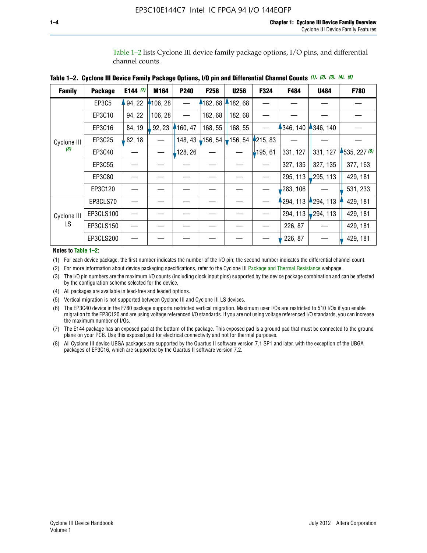Table 1–2 lists Cyclone III device family package options, I/O pins, and differential channel counts.

|  |  |  | Table 1–2. Cyclone III Device Family Package Options, I/O pin and Differential Channel Counts (1), (2), (3), (4), (5) |  |  |  |  |
|--|--|--|-----------------------------------------------------------------------------------------------------------------------|--|--|--|--|
|--|--|--|-----------------------------------------------------------------------------------------------------------------------|--|--|--|--|

| <b>Family</b>      | <b>Package</b> | E144 $(7)$ | M164     | P <sub>240</sub> | F256                                              | <b>U256</b> | F324     | F484     | U484        | F780           |
|--------------------|----------------|------------|----------|------------------|---------------------------------------------------|-------------|----------|----------|-------------|----------------|
|                    | EP3C5          | 94, 22     | 4106, 28 |                  | 182,68                                            | 182,68      |          |          |             |                |
|                    | EP3C10         | 94, 22     | 106, 28  |                  | 182, 68                                           | 182, 68     |          |          |             |                |
|                    | EP3C16         | 84, 19     | 92, 23   | 160, 47          | 168, 55                                           | 168, 55     |          | 346, 140 | 4346, 140   |                |
| Cyclone III<br>(8) | EP3C25         | 82, 18     |          |                  | 148, 43 $\downarrow$ 156, 54 $\downarrow$ 156, 54 |             | 4215, 83 |          |             |                |
|                    | EP3C40         |            |          | 128, 26          |                                                   |             | 195, 61  | 331, 127 | 331, 127    | $-535, 227(6)$ |
|                    | EP3C55         |            |          |                  |                                                   |             |          | 327, 135 | 327, 135    | 377, 163       |
|                    | EP3C80         |            |          |                  |                                                   |             |          | 295, 113 | ,295, 113   | 429, 181       |
|                    | EP3C120        |            |          |                  |                                                   |             |          | 283, 106 |             | 531, 233       |
|                    | EP3CLS70       |            |          |                  |                                                   |             |          | 294, 113 | $-294, 113$ | 429, 181       |
| Cyclone III<br>LS  | EP3CLS100      |            |          |                  |                                                   |             |          | 294, 113 | $-294, 113$ | 429, 181       |
|                    | EP3CLS150      |            |          |                  |                                                   |             |          | 226, 87  |             | 429, 181       |
|                    | EP3CLS200      |            |          |                  |                                                   |             |          | 226, 87  |             | 429, 181       |

**Notes to Table 1–2:**

(1) For each device package, the first number indicates the number of the I/O pin; the second number indicates the differential channel count.

(2) For more information about device packaging specifications, refer to the Cyclone III [Package and Thermal Resistance](http://www.altera.com/support/devices/packaging/specifications/pkg-pin/dev-package-listing.jsp?device=Cyclone_III) webpage.

(3) The I/O pin numbers are the maximum I/O counts (including clock input pins) supported by the device package combination and can be affected by the configuration scheme selected for the device.

(4) All packages are available in lead-free and leaded options.

(5) Vertical migration is not supported between Cyclone III and Cyclone III LS devices.

(6) The EP3C40 device in the F780 package supports restricted vertical migration. Maximum user I/Os are restricted to 510 I/Os if you enable migration to the EP3C120 and are using voltage referenced I/O standards. If you are not using voltage referenced I/O standards, you can increase the maximum number of I/Os.

(7) The E144 package has an exposed pad at the bottom of the package. This exposed pad is a ground pad that must be connected to the ground plane on your PCB. Use this exposed pad for electrical connectivity and not for thermal purposes.

(8) All Cyclone III device UBGA packages are supported by the Quartus II software version 7.1 SP1 and later, with the exception of the UBGA packages of EP3C16, which are supported by the Quartus II software version 7.2.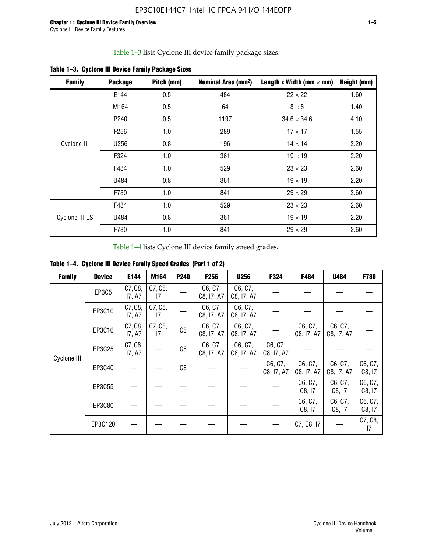Table 1–3 lists Cyclone III device family package sizes.

| <b>Family</b>  | <b>Package</b>   | Pitch (mm) | Nominal Area (mm <sup>2</sup> ) | Length x Width (mm $\times$ mm) | Height (mm) |
|----------------|------------------|------------|---------------------------------|---------------------------------|-------------|
|                | E144             | 0.5        | 484                             | $22 \times 22$                  | 1.60        |
|                | M164             | 0.5        | 64                              | $8 \times 8$                    | 1.40        |
|                | P <sub>240</sub> | 0.5        | 1197                            | $34.6 \times 34.6$              | 4.10        |
|                | F <sub>256</sub> | 1.0        | 289                             | $17 \times 17$                  | 1.55        |
| Cyclone III    | U256             | 0.8        | 196                             | $14 \times 14$                  | 2.20        |
|                | F324             | 1.0        | 361                             | $19 \times 19$                  | 2.20        |
|                | F484             | 1.0        | 529                             | $23 \times 23$                  | 2.60        |
|                | U484             | 0.8        | 361                             | $19 \times 19$                  | 2.20        |
|                | F780             | 1.0        | 841                             | $29 \times 29$                  | 2.60        |
|                | F484             | 1.0        | 529                             | $23 \times 23$                  | 2.60        |
| Cyclone III LS | U484             | 0.8        | 361                             | $19 \times 19$                  | 2.20        |
|                | F780             | 1.0        | 841                             | $29 \times 29$                  | 2.60        |

**Table 1–3. Cyclone III Device Family Package Sizes**

Table 1–4 lists Cyclone III device family speed grades.

**Table 1–4. Cyclone III Device Family Speed Grades (Part 1 of 2)**

| <b>Family</b> | <b>Device</b> | E144              | M164          | <b>P240</b>    | <b>F256</b>           | <b>U256</b>           | F324                  | F484                  | U484                  | <b>F780</b>       |
|---------------|---------------|-------------------|---------------|----------------|-----------------------|-----------------------|-----------------------|-----------------------|-----------------------|-------------------|
| Cyclone III   | EP3C5         | C7, C8,<br>17, A7 | C7, C8,<br>17 |                | C6, C7,<br>C8, I7, A7 | C6, C7,<br>C8, I7, A7 |                       |                       |                       |                   |
|               | EP3C10        | C7, C8,<br>17, A7 | C7, C8,<br>17 |                | C6, C7,<br>C8, I7, A7 | C6, C7,<br>C8, I7, A7 |                       |                       |                       |                   |
|               | EP3C16        | C7, C8,<br>17, A7 | C7, C8,<br>17 | C <sub>8</sub> | C6, C7,<br>C8, I7, A7 | C6, C7,<br>C8, I7, A7 |                       | C6, C7,<br>C8, I7, A7 | C6, C7,<br>C8, I7, A7 |                   |
|               | EP3C25        | C7, C8,<br>17, A7 |               | C8             | C6, C7,<br>C8, I7, A7 | C6, C7,<br>C8, I7, A7 | C6, C7,<br>C8, I7, A7 |                       |                       |                   |
|               | EP3C40        |                   |               | C8             |                       |                       | C6, C7,<br>C8, I7, A7 | C6, C7,<br>C8, I7, A7 | C6, C7,<br>C8, I7, A7 | C6, C7,<br>C8, 17 |
|               | EP3C55        |                   |               |                |                       |                       |                       | C6, C7,<br>C8, I7     | C6, C7,<br>C8, 17     | C6, C7,<br>C8, 17 |
|               | EP3C80        |                   |               |                |                       |                       |                       | C6, C7,<br>C8, 17     | C6, C7,<br>C8, 17     | C6, C7,<br>C8, 17 |
|               | EP3C120       |                   |               |                |                       |                       |                       | C7, C8, I7            |                       | C7, C8,<br>17     |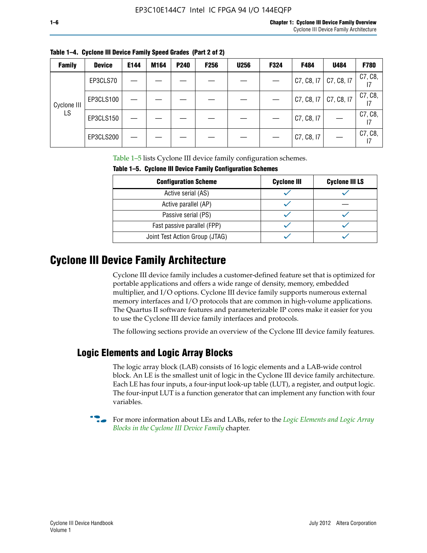| <b>Family</b> | <b>Device</b> | E144 | M164 | P240 | <b>F256</b> | <b>U256</b> | F324 | F484       | U484       | <b>F780</b> |
|---------------|---------------|------|------|------|-------------|-------------|------|------------|------------|-------------|
| Cyclone III   | EP3CLS70      |      |      |      |             |             |      | C7, C8, I7 | C7, C8, I7 | C7, C8,     |
|               | EP3CLS100     |      |      |      |             |             |      | C7, C8, I7 | C7, C8, I7 | C7, C8,     |
| LS.           | EP3CLS150     |      |      |      |             |             |      | C7, C8, I7 |            | C7, C8,     |
|               | EP3CLS200     |      |      |      |             |             |      | C7, C8, I7 |            | C7, C8,     |

**Table 1–4. Cyclone III Device Family Speed Grades (Part 2 of 2)**

Table 1–5 lists Cyclone III device family configuration schemes.

| <b>IQUIE 1-3. CYCLUILE III DEVICE FAILIIV CUILILUILATION SCIIENIES</b> |                    |                       |  |  |  |
|------------------------------------------------------------------------|--------------------|-----------------------|--|--|--|
| <b>Configuration Scheme</b>                                            | <b>Cyclone III</b> | <b>Cyclone III LS</b> |  |  |  |
| Active serial (AS)                                                     |                    |                       |  |  |  |
| Active parallel (AP)                                                   |                    |                       |  |  |  |
| Passive serial (PS)                                                    |                    |                       |  |  |  |
| Fast passive parallel (FPP)                                            |                    |                       |  |  |  |
| Joint Test Action Group (JTAG)                                         |                    |                       |  |  |  |

**Table 1–5. Cyclone III Device Family Configuration Schemes**

## **Cyclone III Device Family Architecture**

Cyclone III device family includes a customer-defined feature set that is optimized for portable applications and offers a wide range of density, memory, embedded multiplier, and I/O options. Cyclone III device family supports numerous external memory interfaces and I/O protocols that are common in high-volume applications. The Quartus II software features and parameterizable IP cores make it easier for you to use the Cyclone III device family interfaces and protocols.

The following sections provide an overview of the Cyclone III device family features.

#### **Logic Elements and Logic Array Blocks**

The logic array block (LAB) consists of 16 logic elements and a LAB-wide control block. An LE is the smallest unit of logic in the Cyclone III device family architecture. Each LE has four inputs, a four-input look-up table (LUT), a register, and output logic. The four-input LUT is a function generator that can implement any function with four variables.

f For more information about LEs and LABs, refer to the *[Logic Elements and Logic Array](http://www.altera.com/literature/hb/cyc3/cyc3_ciii51002.pdf)  [Blocks in the Cyclone III Device Family](http://www.altera.com/literature/hb/cyc3/cyc3_ciii51002.pdf)* chapter.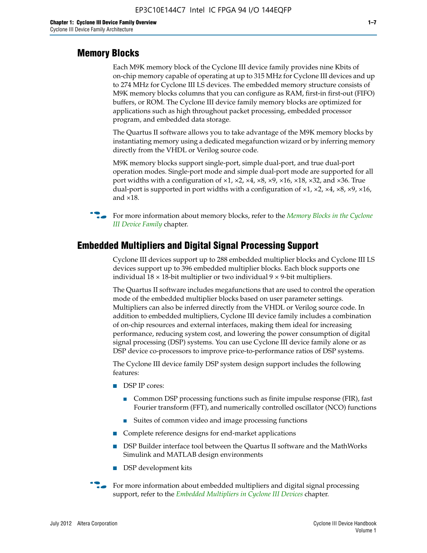#### **Memory Blocks**

Each M9K memory block of the Cyclone III device family provides nine Kbits of on-chip memory capable of operating at up to 315 MHz for Cyclone III devices and up to 274 MHz for Cyclone III LS devices. The embedded memory structure consists of M9K memory blocks columns that you can configure as RAM, first-in first-out (FIFO) buffers, or ROM. The Cyclone III device family memory blocks are optimized for applications such as high throughout packet processing, embedded processor program, and embedded data storage.

The Quartus II software allows you to take advantage of the M9K memory blocks by instantiating memory using a dedicated megafunction wizard or by inferring memory directly from the VHDL or Verilog source code.

M9K memory blocks support single-port, simple dual-port, and true dual-port operation modes. Single-port mode and simple dual-port mode are supported for all port widths with a configuration of  $\times1$ ,  $\times2$ ,  $\times4$ ,  $\times8$ ,  $\times9$ ,  $\times16$ ,  $\times18$ ,  $\times32$ , and  $\times36$ . True dual-port is supported in port widths with a configuration of  $\times$ 1,  $\times$ 2,  $\times$ 4,  $\times$ 8,  $\times$ 9,  $\times$ 16, and ×18.



**For more information about memory blocks, refer to the** *Memory Blocks in the Cyclone [III Device Family](http://www.altera.com/literature/hb/cyc3/cyc3_ciii51004.pdf)* chapter.

#### **Embedded Multipliers and Digital Signal Processing Support**

Cyclone III devices support up to 288 embedded multiplier blocks and Cyclone III LS devices support up to 396 embedded multiplier blocks. Each block supports one individual  $18 \times 18$ -bit multiplier or two individual  $9 \times 9$ -bit multipliers.

The Quartus II software includes megafunctions that are used to control the operation mode of the embedded multiplier blocks based on user parameter settings. Multipliers can also be inferred directly from the VHDL or Verilog source code. In addition to embedded multipliers, Cyclone III device family includes a combination of on-chip resources and external interfaces, making them ideal for increasing performance, reducing system cost, and lowering the power consumption of digital signal processing (DSP) systems. You can use Cyclone III device family alone or as DSP device co-processors to improve price-to-performance ratios of DSP systems.

The Cyclone III device family DSP system design support includes the following features:

- DSP IP cores:
	- Common DSP processing functions such as finite impulse response (FIR), fast Fourier transform (FFT), and numerically controlled oscillator (NCO) functions
	- Suites of common video and image processing functions
- Complete reference designs for end-market applications
- DSP Builder interface tool between the Quartus II software and the MathWorks Simulink and MATLAB design environments
- DSP development kits
- For more information about embedded multipliers and digital signal processing support, refer to the *[Embedded Multipliers in Cyclone III Devices](http://www.altera.com/literature/hb/cyc3/cyc3_ciii51005.pdf)* chapter.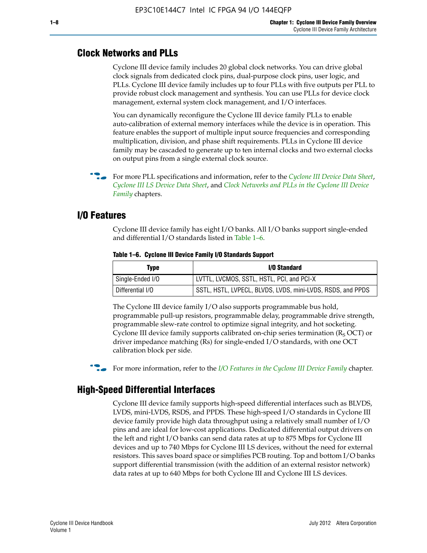#### **Clock Networks and PLLs**

Cyclone III device family includes 20 global clock networks. You can drive global clock signals from dedicated clock pins, dual-purpose clock pins, user logic, and PLLs. Cyclone III device family includes up to four PLLs with five outputs per PLL to provide robust clock management and synthesis. You can use PLLs for device clock management, external system clock management, and I/O interfaces.

You can dynamically reconfigure the Cyclone III device family PLLs to enable auto-calibration of external memory interfaces while the device is in operation. This feature enables the support of multiple input source frequencies and corresponding multiplication, division, and phase shift requirements. PLLs in Cyclone III device family may be cascaded to generate up to ten internal clocks and two external clocks on output pins from a single external clock source.

**For more PLL specifications and information, refer to the** *[Cyclone III Device Data Sheet](http://www.altera.com/literature/hb/cyc3/cyc3_ciii52001.pdf)***,** *[Cyclone III LS Device Data Sheet](http://www.altera.com/literature/hb/cyc3/cyc3_ciii52002.pdf)*, and *[Clock Networks and PLLs in the Cyclone III Device](http://www.altera.com/literature/hb/cyc3/cyc3_ciii51006.pdf)  [Family](http://www.altera.com/literature/hb/cyc3/cyc3_ciii51006.pdf)* chapters.

#### **I/O Features**

Cyclone III device family has eight I/O banks. All I/O banks support single-ended and differential I/O standards listed in Table 1–6.

| Type             | <b>I/O Standard</b>                                        |
|------------------|------------------------------------------------------------|
| Single-Ended I/O | LVTTL, LVCMOS, SSTL, HSTL, PCI, and PCI-X                  |
| Differential I/O | SSTL, HSTL, LVPECL, BLVDS, LVDS, mini-LVDS, RSDS, and PPDS |

**Table 1–6. Cyclone III Device Family I/O Standards Support** 

The Cyclone III device family I/O also supports programmable bus hold, programmable pull-up resistors, programmable delay, programmable drive strength, programmable slew-rate control to optimize signal integrity, and hot socketing. Cyclone III device family supports calibrated on-chip series termination ( $R_S$  OCT) or driver impedance matching (Rs) for single-ended I/O standards, with one OCT calibration block per side.

For more information, refer to the *[I/O Features in the Cyclone III Device Family](http://www.altera.com/literature/hb/cyc3/cyc3_ciii51007.pdf)* chapter.

### **High-Speed Differential Interfaces**

Cyclone III device family supports high-speed differential interfaces such as BLVDS, LVDS, mini-LVDS, RSDS, and PPDS. These high-speed I/O standards in Cyclone III device family provide high data throughput using a relatively small number of I/O pins and are ideal for low-cost applications. Dedicated differential output drivers on the left and right I/O banks can send data rates at up to 875 Mbps for Cyclone III devices and up to 740 Mbps for Cyclone III LS devices, without the need for external resistors. This saves board space or simplifies PCB routing. Top and bottom I/O banks support differential transmission (with the addition of an external resistor network) data rates at up to 640 Mbps for both Cyclone III and Cyclone III LS devices.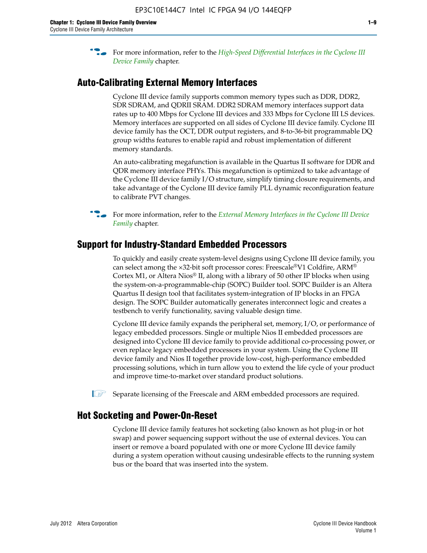**For more information, refer to the** *High-Speed Differential Interfaces in the Cyclone III* $\overline{a}$ *[Device Family](http://www.altera.com/literature/hb/cyc3/cyc3_ciii51008.pdf)* chapter.

#### **Auto-Calibrating External Memory Interfaces**

Cyclone III device family supports common memory types such as DDR, DDR2, SDR SDRAM, and QDRII SRAM. DDR2 SDRAM memory interfaces support data rates up to 400 Mbps for Cyclone III devices and 333 Mbps for Cyclone III LS devices. Memory interfaces are supported on all sides of Cyclone III device family. Cyclone III device family has the OCT, DDR output registers, and 8-to-36-bit programmable DQ group widths features to enable rapid and robust implementation of different memory standards.

An auto-calibrating megafunction is available in the Quartus II software for DDR and QDR memory interface PHYs. This megafunction is optimized to take advantage of the Cyclone III device family I/O structure, simplify timing closure requirements, and take advantage of the Cyclone III device family PLL dynamic reconfiguration feature to calibrate PVT changes.

**For more information, refer to the** *External Memory Interfaces in the Cyclone III Device [Family](http://www.altera.com/literature/hb/cyc3/cyc3_ciii51009.pdf)* chapter.

#### **Support for Industry-Standard Embedded Processors**

To quickly and easily create system-level designs using Cyclone III device family, you can select among the ×32-bit soft processor cores: Freescale®V1 Coldfire, ARM® Cortex M1, or Altera Nios® II, along with a library of 50 other IP blocks when using the system-on-a-programmable-chip (SOPC) Builder tool. SOPC Builder is an Altera Quartus II design tool that facilitates system-integration of IP blocks in an FPGA design. The SOPC Builder automatically generates interconnect logic and creates a testbench to verify functionality, saving valuable design time.

Cyclone III device family expands the peripheral set, memory, I/O, or performance of legacy embedded processors. Single or multiple Nios II embedded processors are designed into Cyclone III device family to provide additional co-processing power, or even replace legacy embedded processors in your system. Using the Cyclone III device family and Nios II together provide low-cost, high-performance embedded processing solutions, which in turn allow you to extend the life cycle of your product and improve time-to-market over standard product solutions.

 $\mathbb{I}$  Separate licensing of the Freescale and ARM embedded processors are required.

#### **Hot Socketing and Power-On-Reset**

Cyclone III device family features hot socketing (also known as hot plug-in or hot swap) and power sequencing support without the use of external devices. You can insert or remove a board populated with one or more Cyclone III device family during a system operation without causing undesirable effects to the running system bus or the board that was inserted into the system.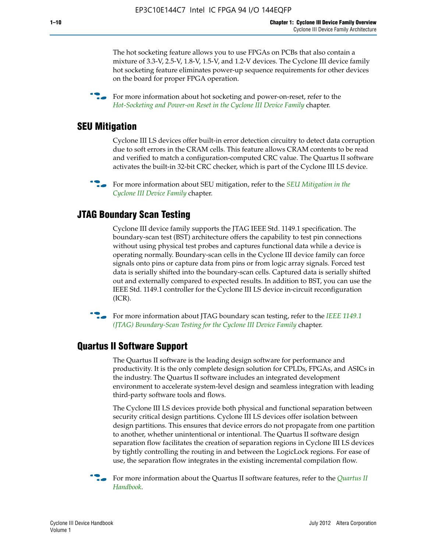The hot socketing feature allows you to use FPGAs on PCBs that also contain a mixture of 3.3-V, 2.5-V, 1.8-V, 1.5-V, and 1.2-V devices. The Cyclone III device family hot socketing feature eliminates power-up sequence requirements for other devices on the board for proper FPGA operation.

For more information about hot socketing and power-on-reset, refer to the *[Hot-Socketing and Power-on Reset in the Cyclone III Device Family](http://www.altera.com/literature/hb/cyc3/cyc3_ciii51011.pdf)* chapter.

#### **SEU Mitigation**

Cyclone III LS devices offer built-in error detection circuitry to detect data corruption due to soft errors in the CRAM cells. This feature allows CRAM contents to be read and verified to match a configuration-computed CRC value. The Quartus II software activates the built-in 32-bit CRC checker, which is part of the Cyclone III LS device.

**For more information about SEU mitigation, refer to the** *SEU Mitigation in the [Cyclone III Device Family](http://www.altera.com/literature/hb/cyc3/cyc3_ciii51013.pdf)* chapter.

#### **JTAG Boundary Scan Testing**

Cyclone III device family supports the JTAG IEEE Std. 1149.1 specification. The boundary-scan test (BST) architecture offers the capability to test pin connections without using physical test probes and captures functional data while a device is operating normally. Boundary-scan cells in the Cyclone III device family can force signals onto pins or capture data from pins or from logic array signals. Forced test data is serially shifted into the boundary-scan cells. Captured data is serially shifted out and externally compared to expected results. In addition to BST, you can use the IEEE Std. 1149.1 controller for the Cyclone III LS device in-circuit reconfiguration (ICR).

**f f**or more information about JTAG boundary scan testing, refer to the *IEEE* 1149.1 *[\(JTAG\) Boundary-Scan Testing for the Cyclone III Device Family](http://www.altera.com/literature/hb/cyc3/cyc3_ciii51014.pdf)* chapter.

#### **Quartus II Software Support**

The Quartus II software is the leading design software for performance and productivity. It is the only complete design solution for CPLDs, FPGAs, and ASICs in the industry. The Quartus II software includes an integrated development environment to accelerate system-level design and seamless integration with leading third-party software tools and flows.

The Cyclone III LS devices provide both physical and functional separation between security critical design partitions. Cyclone III LS devices offer isolation between design partitions. This ensures that device errors do not propagate from one partition to another, whether unintentional or intentional. The Quartus II software design separation flow facilitates the creation of separation regions in Cyclone III LS devices by tightly controlling the routing in and between the LogicLock regions. For ease of use, the separation flow integrates in the existing incremental compilation flow.

f For more information about the Quartus II software features, refer to the *[Quartus II](http://www.altera.com/literature/hb/qts/quartusii_handbook.pdf)  [Handbook](http://www.altera.com/literature/hb/qts/quartusii_handbook.pdf)*.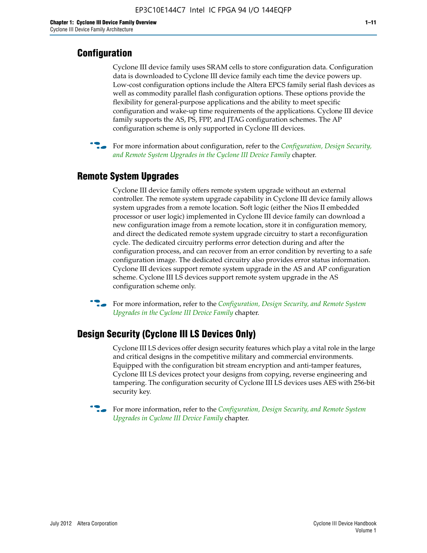### **Configuration**

Cyclone III device family uses SRAM cells to store configuration data. Configuration data is downloaded to Cyclone III device family each time the device powers up. Low-cost configuration options include the Altera EPCS family serial flash devices as well as commodity parallel flash configuration options. These options provide the flexibility for general-purpose applications and the ability to meet specific configuration and wake-up time requirements of the applications. Cyclone III device family supports the AS, PS, FPP, and JTAG configuration schemes. The AP configuration scheme is only supported in Cyclone III devices.



f For more information about configuration, refer to the *[Configuration, Design Security,](http://www.altera.com/literature/hb/cyc3/cyc3_ciii51016.pdf)  [and Remote System Upgrades in the Cyclone III Device Family](http://www.altera.com/literature/hb/cyc3/cyc3_ciii51016.pdf)* chapter.

#### **Remote System Upgrades**

Cyclone III device family offers remote system upgrade without an external controller. The remote system upgrade capability in Cyclone III device family allows system upgrades from a remote location. Soft logic (either the Nios II embedded processor or user logic) implemented in Cyclone III device family can download a new configuration image from a remote location, store it in configuration memory, and direct the dedicated remote system upgrade circuitry to start a reconfiguration cycle. The dedicated circuitry performs error detection during and after the configuration process, and can recover from an error condition by reverting to a safe configuration image. The dedicated circuitry also provides error status information. Cyclone III devices support remote system upgrade in the AS and AP configuration scheme. Cyclone III LS devices support remote system upgrade in the AS configuration scheme only.

**For more information, refer to the** *Configuration, Design Security, and Remote System [Upgrades in the Cyclone III Device Family](http://www.altera.com/literature/hb/cyc3/cyc3_ciii51016.pdf)* chapter.

#### **Design Security (Cyclone III LS Devices Only)**

Cyclone III LS devices offer design security features which play a vital role in the large and critical designs in the competitive military and commercial environments. Equipped with the configuration bit stream encryption and anti-tamper features, Cyclone III LS devices protect your designs from copying, reverse engineering and tampering. The configuration security of Cyclone III LS devices uses AES with 256-bit security key.

f For more information, refer to the *[Configuration, Design Security, and Remote System](http://www.altera.com/literature/hb/cyc3/cyc3_ciii51016.pdf)  [Upgrades in Cyclone III Device Family](http://www.altera.com/literature/hb/cyc3/cyc3_ciii51016.pdf)* chapter.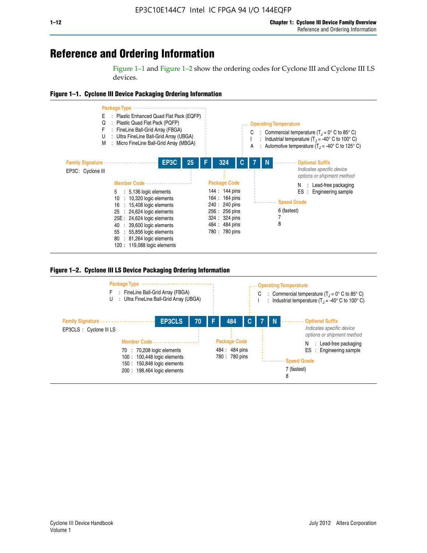## **Reference and Ordering Information**

Figure 1–1 and Figure 1–2 show the ordering codes for Cyclone III and Cyclone III LS devices.







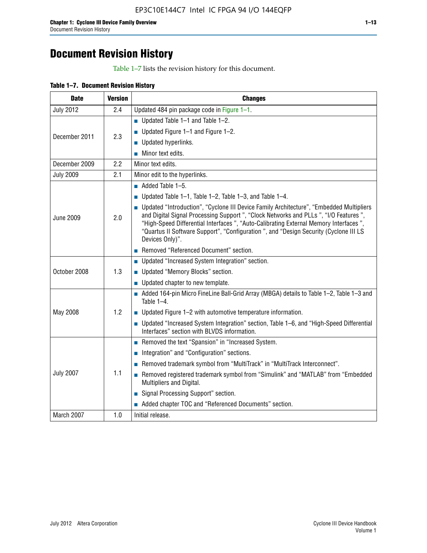# **Document Revision History**

Table 1–7 lists the revision history for this document.

| Table 1-7. Document Revision History |
|--------------------------------------|
|--------------------------------------|

| <b>Date</b>      | <b>Version</b> | <b>Changes</b>                                                                                                                                                                                                                                                                                                                                                                          |
|------------------|----------------|-----------------------------------------------------------------------------------------------------------------------------------------------------------------------------------------------------------------------------------------------------------------------------------------------------------------------------------------------------------------------------------------|
| <b>July 2012</b> | 2.4            | Updated 484 pin package code in Figure 1-1.                                                                                                                                                                                                                                                                                                                                             |
|                  |                | Updated Table $1-1$ and Table $1-2$ .                                                                                                                                                                                                                                                                                                                                                   |
| December 2011    | 2.3            | ■ Updated Figure $1-1$ and Figure $1-2$ .                                                                                                                                                                                                                                                                                                                                               |
|                  |                | <b>Updated hyperlinks.</b>                                                                                                                                                                                                                                                                                                                                                              |
|                  |                | $\blacksquare$ Minor text edits.                                                                                                                                                                                                                                                                                                                                                        |
| December 2009    | 2.2            | Minor text edits.                                                                                                                                                                                                                                                                                                                                                                       |
| <b>July 2009</b> | 2.1            | Minor edit to the hyperlinks.                                                                                                                                                                                                                                                                                                                                                           |
|                  |                | $\blacksquare$ Added Table 1-5.                                                                                                                                                                                                                                                                                                                                                         |
|                  |                | ■ Updated Table 1–1, Table 1–2, Table 1–3, and Table 1–4.                                                                                                                                                                                                                                                                                                                               |
| <b>June 2009</b> | 2.0            | • Updated "Introduction", "Cyclone III Device Family Architecture", "Embedded Multipliers<br>and Digital Signal Processing Support ", "Clock Networks and PLLs ", "I/O Features ",<br>"High-Speed Differential Interfaces ", "Auto-Calibrating External Memory Interfaces",<br>"Quartus II Software Support", "Configuration ", and "Design Security (Cyclone III LS<br>Devices Only)". |
|                  |                | Removed "Referenced Document" section.                                                                                                                                                                                                                                                                                                                                                  |
|                  |                | • Updated "Increased System Integration" section.                                                                                                                                                                                                                                                                                                                                       |
| October 2008     | 1.3            | Updated "Memory Blocks" section.                                                                                                                                                                                                                                                                                                                                                        |
|                  |                | • Updated chapter to new template.                                                                                                                                                                                                                                                                                                                                                      |
|                  |                | Added 164-pin Micro FineLine Ball-Grid Array (MBGA) details to Table 1-2, Table 1-3 and<br>Table $1-4$ .                                                                                                                                                                                                                                                                                |
| May 2008         | 1.2            | $\blacksquare$ Updated Figure 1-2 with automotive temperature information.                                                                                                                                                                                                                                                                                                              |
|                  |                | • Updated "Increased System Integration" section, Table 1-6, and "High-Speed Differential<br>Interfaces" section with BLVDS information.                                                                                                                                                                                                                                                |
|                  |                | Removed the text "Spansion" in "Increased System.                                                                                                                                                                                                                                                                                                                                       |
|                  |                | Integration" and "Configuration" sections.                                                                                                                                                                                                                                                                                                                                              |
| <b>July 2007</b> |                | Removed trademark symbol from "MultiTrack" in "MultiTrack Interconnect".                                                                                                                                                                                                                                                                                                                |
|                  | 1.1            | Removed registered trademark symbol from "Simulink" and "MATLAB" from "Embedded<br>Multipliers and Digital.                                                                                                                                                                                                                                                                             |
|                  |                | Signal Processing Support" section.                                                                                                                                                                                                                                                                                                                                                     |
|                  |                | Added chapter TOC and "Referenced Documents" section.                                                                                                                                                                                                                                                                                                                                   |
| March 2007       | 1.0            | Initial release.                                                                                                                                                                                                                                                                                                                                                                        |